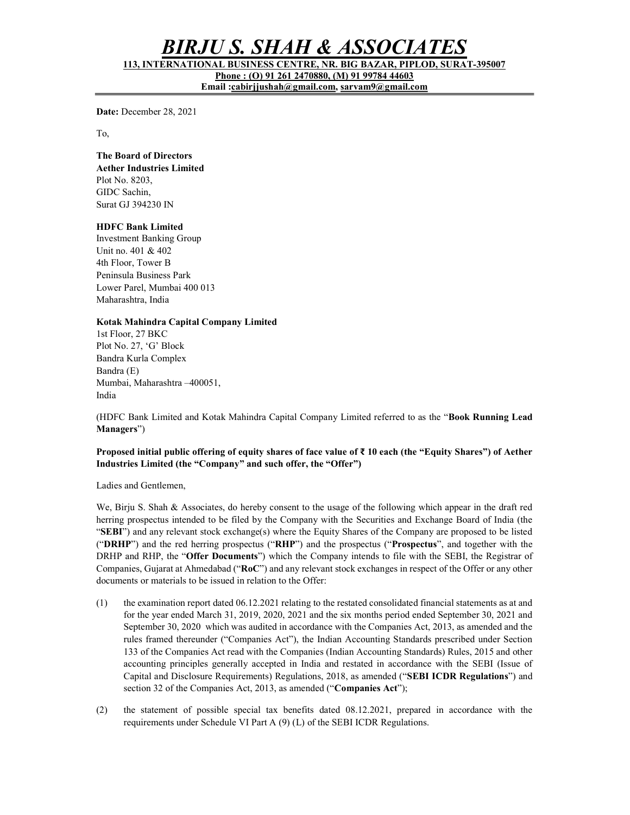# BIRJU S. SHAH & ASSOCIAT

113, INTERNATIONAL BUSINESS CENTRE, NR. BIG BAZAR, PIPLOD, SURAT-395007 Phone : (O) 91 261 2470880, (M) 91 99784 44603

Email :cabirjjushah@gmail.com, sarvam9@gmail.com

Date: December 28, 2021

To,

### The Board of Directors

Aether Industries Limited Plot No. 8203, GIDC Sachin, Surat GJ 394230 IN

## HDFC Bank Limited

Investment Banking Group Unit no. 401 & 402 4th Floor, Tower B Peninsula Business Park Lower Parel, Mumbai 400 013 Maharashtra, India

#### Kotak Mahindra Capital Company Limited

1st Floor, 27 BKC Plot No. 27, 'G' Block Bandra Kurla Complex Bandra (E) Mumbai, Maharashtra –400051, India

(HDFC Bank Limited and Kotak Mahindra Capital Company Limited referred to as the "Book Running Lead Managers")

#### Proposed initial public offering of equity shares of face value of ₹ 10 each (the "Equity Shares") of Aether Industries Limited (the "Company" and such offer, the "Offer")

Ladies and Gentlemen,

We, Birju S. Shah & Associates, do hereby consent to the usage of the following which appear in the draft red herring prospectus intended to be filed by the Company with the Securities and Exchange Board of India (the "SEBI") and any relevant stock exchange(s) where the Equity Shares of the Company are proposed to be listed ("DRHP") and the red herring prospectus ("RHP") and the prospectus ("Prospectus", and together with the DRHP and RHP, the "Offer Documents") which the Company intends to file with the SEBI, the Registrar of Companies, Gujarat at Ahmedabad ("RoC") and any relevant stock exchanges in respect of the Offer or any other documents or materials to be issued in relation to the Offer:

- (1) the examination report dated 06.12.2021 relating to the restated consolidated financial statements as at and for the year ended March 31, 2019, 2020, 2021 and the six months period ended September 30, 2021 and September 30, 2020 which was audited in accordance with the Companies Act, 2013, as amended and the rules framed thereunder ("Companies Act"), the Indian Accounting Standards prescribed under Section 133 of the Companies Act read with the Companies (Indian Accounting Standards) Rules, 2015 and other accounting principles generally accepted in India and restated in accordance with the SEBI (Issue of Capital and Disclosure Requirements) Regulations, 2018, as amended ("SEBI ICDR Regulations") and section 32 of the Companies Act, 2013, as amended ("Companies Act");
- (2) the statement of possible special tax benefits dated 08.12.2021, prepared in accordance with the requirements under Schedule VI Part A (9) (L) of the SEBI ICDR Regulations.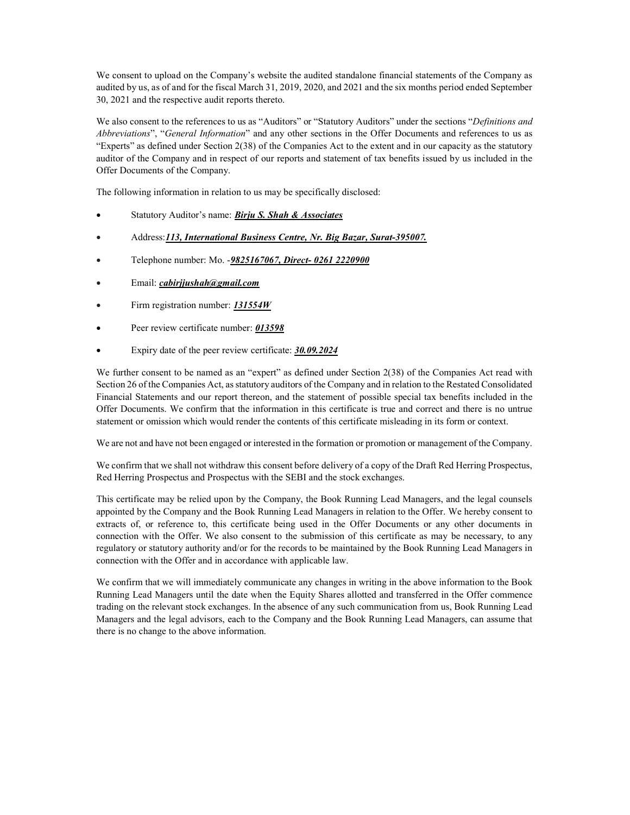We consent to upload on the Company's website the audited standalone financial statements of the Company as audited by us, as of and for the fiscal March 31, 2019, 2020, and 2021 and the six months period ended September 30, 2021 and the respective audit reports thereto.

We also consent to the references to us as "Auditors" or "Statutory Auditors" under the sections "Definitions and Abbreviations", "General Information" and any other sections in the Offer Documents and references to us as "Experts" as defined under Section 2(38) of the Companies Act to the extent and in our capacity as the statutory auditor of the Company and in respect of our reports and statement of tax benefits issued by us included in the Offer Documents of the Company.

The following information in relation to us may be specifically disclosed:

- Statutory Auditor's name: Birju S. Shah & Associates
- Address: 113, International Business Centre, Nr. Big Bazar, Surat-395007.
- Telephone number: Mo. -9825167067, Direct- 0261 2220900
- Email: cabirjjushah@gmail.com
- Firm registration number: 131554W
- Peer review certificate number: 013598
- Expiry date of the peer review certificate: 30.09.2024

We further consent to be named as an "expert" as defined under Section 2(38) of the Companies Act read with Section 26 of the Companies Act, as statutory auditors of the Company and in relation to the Restated Consolidated Financial Statements and our report thereon, and the statement of possible special tax benefits included in the Offer Documents. We confirm that the information in this certificate is true and correct and there is no untrue statement or omission which would render the contents of this certificate misleading in its form or context.

We are not and have not been engaged or interested in the formation or promotion or management of the Company.

We confirm that we shall not withdraw this consent before delivery of a copy of the Draft Red Herring Prospectus, Red Herring Prospectus and Prospectus with the SEBI and the stock exchanges.

This certificate may be relied upon by the Company, the Book Running Lead Managers, and the legal counsels appointed by the Company and the Book Running Lead Managers in relation to the Offer. We hereby consent to extracts of, or reference to, this certificate being used in the Offer Documents or any other documents in connection with the Offer. We also consent to the submission of this certificate as may be necessary, to any regulatory or statutory authority and/or for the records to be maintained by the Book Running Lead Managers in connection with the Offer and in accordance with applicable law.

We confirm that we will immediately communicate any changes in writing in the above information to the Book Running Lead Managers until the date when the Equity Shares allotted and transferred in the Offer commence trading on the relevant stock exchanges. In the absence of any such communication from us, Book Running Lead Managers and the legal advisors, each to the Company and the Book Running Lead Managers, can assume that there is no change to the above information.